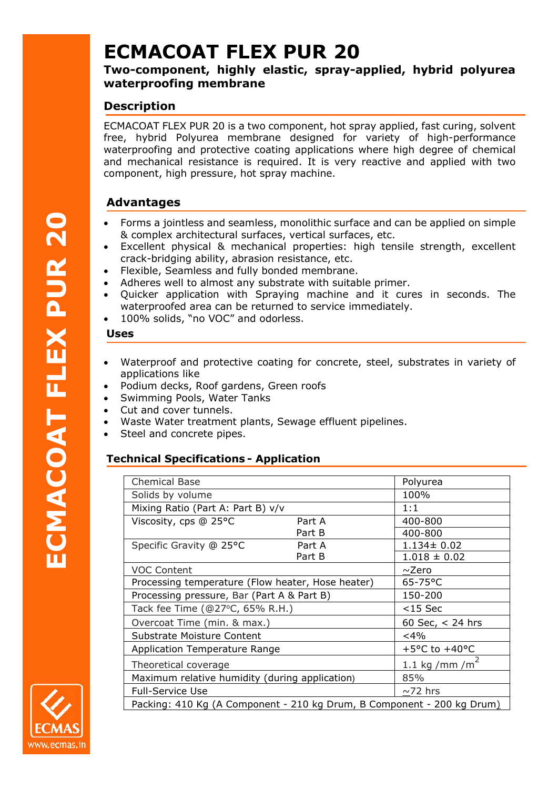# **ECMACOAT FLEX PUR 20**

## **Two-component, highly elastic, spray-applied, hybrid polyurea waterproofing membrane**

## **Description**

ECMACOAT FLEX PUR 20 is a two component, hot spray applied, fast curing, solvent free, hybrid Polyurea membrane designed for variety of high-performance waterproofing and protective coating applications where high degree of chemical and mechanical resistance is required. It is very reactive and applied with two component, high pressure, hot spray machine.

## **Advantages**

- Forms a jointless and seamless, monolithic surface and can be applied on simple & complex architectural surfaces, vertical surfaces, etc.
- Excellent physical & mechanical properties: high tensile strength, excellent crack-bridging ability, abrasion resistance, etc.
- Flexible, Seamless and fully bonded membrane.
- Adheres well to almost any substrate with suitable primer.
- Quicker application with Spraying machine and it cures in seconds. The waterproofed area can be returned to service immediately.
- 100% solids, "no VOC" and odorless.

#### **Uses**

- Waterproof and protective coating for concrete, steel, substrates in variety of applications like
- Podium decks, Roof gardens, Green roofs
- Swimming Pools, Water Tanks
- Cut and cover tunnels.
- Waste Water treatment plants, Sewage effluent pipelines.
- Steel and concrete pipes.

### **Technical Specifications - Application**

| <b>Chemical Base</b>                                                   |        | Polyurea                          |
|------------------------------------------------------------------------|--------|-----------------------------------|
| Solids by volume                                                       |        | 100%                              |
| Mixing Ratio (Part A: Part B) v/v                                      |        | 1:1                               |
| Viscosity, cps @ 25°C                                                  | Part A | 400-800                           |
|                                                                        | Part B | 400-800                           |
| Specific Gravity @ 25°C                                                | Part A | $1.134 \pm 0.02$                  |
|                                                                        | Part B | $1.018 \pm 0.02$                  |
| <b>VOC Content</b>                                                     |        | $\sim$ Zero                       |
| Processing temperature (Flow heater, Hose heater)                      |        | 65-75°C                           |
| Processing pressure, Bar (Part A & Part B)                             |        | 150-200                           |
| Tack fee Time (@27°C, 65% R.H.)                                        |        | $<$ 15 Sec                        |
| Overcoat Time (min. & max.)                                            |        | 60 Sec, $<$ 24 hrs                |
| Substrate Moisture Content                                             |        | $<$ 4%                            |
| <b>Application Temperature Range</b>                                   |        | +5 $\degree$ C to +40 $\degree$ C |
| Theoretical coverage                                                   |        | $1.1 \text{ kg/mm/m}^2$           |
| Maximum relative humidity (during application)                         |        | 85%                               |
| <b>Full-Service Use</b>                                                |        | $\sim$ 72 hrs                     |
| Packing: 410 Kg (A Component - 210 kg Drum, B Component - 200 kg Drum) |        |                                   |



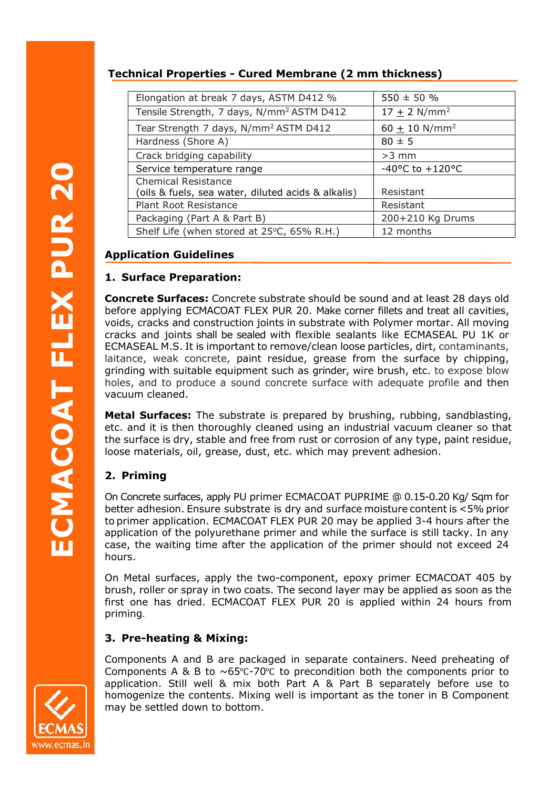## **Technical Properties - Cured Membrane (2 mm thickness)**

| Elongation at break 7 days, ASTM D412 %               | $550 \pm 50 %$                      |
|-------------------------------------------------------|-------------------------------------|
| Tensile Strength, 7 days, N/mm <sup>2</sup> ASTM D412 | $17 + 2$ N/mm <sup>2</sup>          |
| Tear Strength 7 days, N/mm <sup>2</sup> ASTM D412     | 60 $\pm$ 10 N/mm <sup>2</sup>       |
| Hardness (Shore A)                                    | $80 \pm 5$                          |
| Crack bridging capability                             | $>3$ mm                             |
| Service temperature range                             | $-40^{\circ}$ C to $+120^{\circ}$ C |
| <b>Chemical Resistance</b>                            |                                     |
| (oils & fuels, sea water, diluted acids & alkalis)    | Resistant                           |
| <b>Plant Root Resistance</b>                          | Resistant                           |
| Packaging (Part A & Part B)                           | 200+210 Kg Drums                    |
| Shelf Life (when stored at 25°C, 65% R.H.)            | 12 months                           |

## **Application Guidelines**

#### **1. Surface Preparation:**

**Concrete Surfaces:** Concrete substrate should be sound and at least 28 days old before applying ECMACOAT FLEX PUR 20. Make corner fillets and treat all cavities, voids, cracks and construction joints in substrate with Polymer mortar. All moving cracks and joints shall be sealed with flexible sealants like ECMASEAL PU 1K or ECMASEAL M.S. It is important to remove/clean loose particles, dirt, contaminants, laitance, weak concrete, paint residue, grease from the surface by chipping, grinding with suitable equipment such as grinder, wire brush, etc. to expose blow holes, and to produce a sound concrete surface with adequate profile and then vacuum cleaned.

**Metal Surfaces:** The substrate is prepared by brushing, rubbing, sandblasting, etc. and it is then thoroughly cleaned using an industrial vacuum cleaner so that the surface is dry, stable and free from rust or corrosion of any type, paint residue, loose materials, oil, grease, dust, etc. which may prevent adhesion.

### **2. Priming**

On Concrete surfaces, apply PU primer ECMACOAT PUPRIME @ 0.15-0.20 Kg/ Sqm for better adhesion. Ensure substrate is dry and surface moisture content is <5% prior to primer application. ECMACOAT FLEX PUR 20 may be applied 3-4 hours after the application of the polyurethane primer and while the surface is still tacky. In any case, the waiting time after the application of the primer should not exceed 24 hours.

On Metal surfaces, apply the two-component, epoxy primer ECMACOAT 405 by brush, roller or spray in two coats. The second layer may be applied as soon as the first one has dried. ECMACOAT FLEX PUR 20 is applied within 24 hours from priming.

### **3. Pre-heating & Mixing:**

Components A and B are packaged in separate containers. Need preheating of Components A & B to  $\sim 65^{\circ}$ C-70°C to precondition both the components prior to application. Still well & mix both Part A & Part B separately before use to homogenize the contents. Mixing well is important as the toner in B Component may be settled down to bottom.